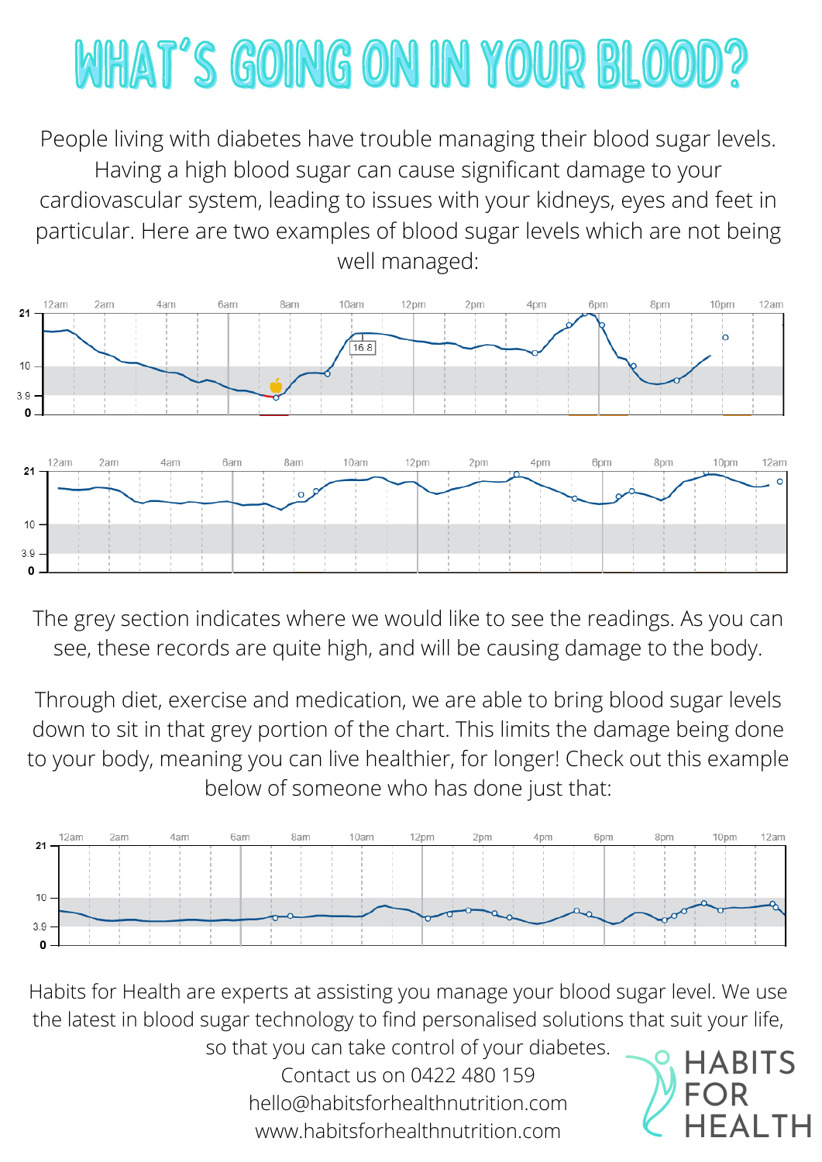Habits for Health are experts at assisting you manage your blood sugar level. We use the latest in blood sugar technology to find personalised solutions that suit your life, so that you can take control of your diabetes. Contact us on 0422 480 159 hello@habitsforhealthnutrition.com www.habitsforhealthnutrition.com

The grey section indicates where we would like to see the readings. As you can see, these records are quite high, and will be causing damage to the body.

Through diet, exercise and medication, we are able to bring blood sugar levels down to sit in that grey portion of the chart. This limits the damage being done to your body, meaning you can live healthier, for longer! Check out this example below of someone who has done just that:





## WHAT'S GOING ON IN YOUR BLOOD?

People living with diabetes have trouble managing their blood sugar levels. Having a high blood sugar can cause significant damage to your cardiovascular system, leading to issues with your kidneys, eyes and feet in particular. Here are two examples of blood sugar levels which are not being well managed: